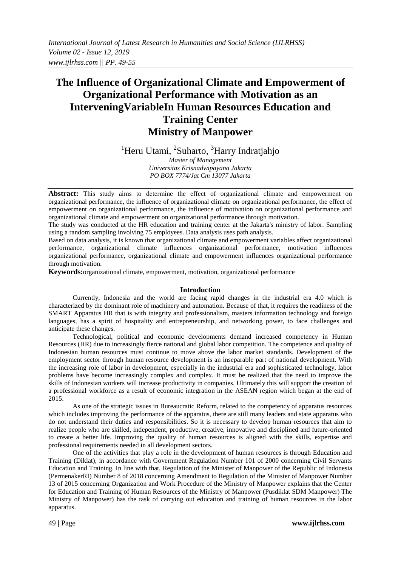# **The Influence of Organizational Climate and Empowerment of Organizational Performance with Motivation as an InterveningVariableIn Human Resources Education and Training Center Ministry of Manpower**

<sup>1</sup>Heru Utami, <sup>2</sup>Suharto, <sup>3</sup>Harry Indratjahjo

*Master of Management Universitas Krisnadwipayana Jakarta PO BOX 7774/Jat Cm 13077 Jakarta*

**Abstract:** This study aims to determine the effect of organizational climate and empowerment on organizational performance, the influence of organizational climate on organizational performance, the effect of empowerment on organizational performance, the influence of motivation on organizational performance and organizational climate and empowerment on organizational performance through motivation.

The study was conducted at the HR education and training center at the Jakarta's ministry of labor. Sampling using a random sampling involving 75 employees. Data analysis uses path analysis.

Based on data analysis, it is known that organizational climate and empowerment variables affect organizational performance, organizational climate influences organizational performance, motivation influences organizational performance, organizational climate and empowerment influences organizational performance through motivation.

**Keywords:**organizational climate, empowerment, motivation, organizational performance

## **Introduction**

Currently, Indonesia and the world are facing rapid changes in the industrial era 4.0 which is characterized by the dominant role of machinery and automation. Because of that, it requires the readiness of the SMART Apparatus HR that is with integrity and professionalism, masters information technology and foreign languages, has a spirit of hospitality and entrepreneurship, and networking power, to face challenges and anticipate these changes.

Technological, political and economic developments demand increased competency in Human Resources (HR) due to increasingly fierce national and global labor competition. The competence and quality of Indonesian human resources must continue to move above the labor market standards. Development of the employment sector through human resource development is an inseparable part of national development. With the increasing role of labor in development, especially in the industrial era and sophisticated technology, labor problems have become increasingly complex and complex. It must be realized that the need to improve the skills of Indonesian workers will increase productivity in companies. Ultimately this will support the creation of a professional workforce as a result of economic integration in the ASEAN region which began at the end of 2015.

As one of the strategic issues in Bureaucratic Reform, related to the competency of apparatus resources which includes improving the performance of the apparatus, there are still many leaders and state apparatus who do not understand their duties and responsibilities. So it is necessary to develop human resources that aim to realize people who are skilled, independent, productive, creative, innovative and disciplined and future-oriented to create a better life. Improving the quality of human resources is aligned with the skills, expertise and professional requirements needed in all development sectors.

One of the activities that play a role in the development of human resources is through Education and Training (Diklat), in accordance with Government Regulation Number 101 of 2000 concerning Civil Servants Education and Training. In line with that, Regulation of the Minister of Manpower of the Republic of Indonesia (PermenakerRI) Number 8 of 2018 concerning Amendment to Regulation of the Minister of Manpower Number 13 of 2015 concerning Organization and Work Procedure of the Ministry of Manpower explains that the Center for Education and Training of Human Resources of the Ministry of Manpower (Pusdiklat SDM Manpower) The Ministry of Manpower) has the task of carrying out education and training of human resources in the labor apparatus.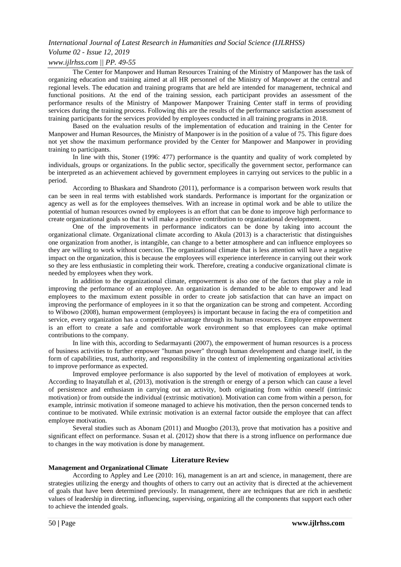## *Volume 02 - Issue 12, 2019*

## *www.ijlrhss.com || PP. 49-55*

The Center for Manpower and Human Resources Training of the Ministry of Manpower has the task of organizing education and training aimed at all HR personnel of the Ministry of Manpower at the central and regional levels. The education and training programs that are held are intended for management, technical and functional positions. At the end of the training session, each participant provides an assessment of the performance results of the Ministry of Manpower Manpower Training Center staff in terms of providing services during the training process. Following this are the results of the performance satisfaction assessment of training participants for the services provided by employees conducted in all training programs in 2018.

Based on the evaluation results of the implementation of education and training in the Center for Manpower and Human Resources, the Ministry of Manpower is in the position of a value of 75. This figure does not yet show the maximum performance provided by the Center for Manpower and Manpower in providing training to participants.

In line with this, Stoner (1996: 477) performance is the quantity and quality of work completed by individuals, groups or organizations. In the public sector, specifically the government sector, performance can be interpreted as an achievement achieved by government employees in carrying out services to the public in a period.

According to Bhaskara and Shandroto (2011), performance is a comparison between work results that can be seen in real terms with established work standards. Performance is important for the organization or agency as well as for the employees themselves. With an increase in optimal work and be able to utilize the potential of human resources owned by employees is an effort that can be done to improve high performance to create organizational goals so that it will make a positive contribution to organizational development.

One of the improvements in performance indicators can be done by taking into account the organizational climate. Organizational climate according to Akula (2013) is a characteristic that distinguishes one organization from another, is intangible, can change to a better atmosphere and can influence employees so they are willing to work without coercion. The organizational climate that is less attention will have a negative impact on the organization, this is because the employees will experience interference in carrying out their work so they are less enthusiastic in completing their work. Therefore, creating a conducive organizational climate is needed by employees when they work.

In addition to the organizational climate, empowerment is also one of the factors that play a role in improving the performance of an employee. An organization is demanded to be able to empower and lead employees to the maximum extent possible in order to create job satisfaction that can have an impact on improving the performance of employees in it so that the organization can be strong and competent. According to Wibowo (2008), human empowerment (employees) is important because in facing the era of competition and service, every organization has a competitive advantage through its human resources. Employee empowerment is an effort to create a safe and comfortable work environment so that employees can make optimal contributions to the company.

In line with this, according to Sedarmayanti (2007), the empowerment of human resources is a process of business activities to further empower "human power" through human development and change itself, in the form of capabilities, trust, authority, and responsibility in the context of implementing organizational activities to improve performance as expected.

Improved employee performance is also supported by the level of motivation of employees at work. According to Inayatullah et al, (2013), motivation is the strength or energy of a person which can cause a level of persistence and enthusiasm in carrying out an activity, both originating from within oneself (intrinsic motivation) or from outside the individual (extrinsic motivation). Motivation can come from within a person, for example, intrinsic motivation if someone managed to achieve his motivation, then the person concerned tends to continue to be motivated. While extrinsic motivation is an external factor outside the employee that can affect employee motivation.

Several studies such as Abonam (2011) and Muogbo (2013), prove that motivation has a positive and significant effect on performance. Susan et al. (2012) show that there is a strong influence on performance due to changes in the way motivation is done by management.

## **Literature Review**

## **Management and Organizational Climate**

According to Appley and Lee (2010: 16), management is an art and science, in management, there are strategies utilizing the energy and thoughts of others to carry out an activity that is directed at the achievement of goals that have been determined previously. In management, there are techniques that are rich in aesthetic values of leadership in directing, influencing, supervising, organizing all the components that support each other to achieve the intended goals.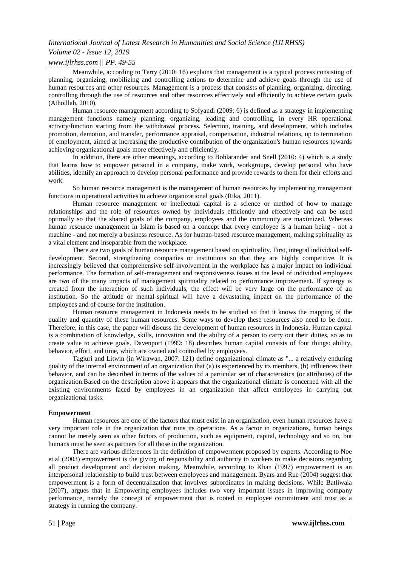## *Volume 02 - Issue 12, 2019*

### *www.ijlrhss.com || PP. 49-55*

Meanwhile, according to Terry (2010: 16) explains that management is a typical process consisting of planning, organizing, mobilizing and controlling actions to determine and achieve goals through the use of human resources and other resources. Management is a process that consists of planning, organizing, directing, controlling through the use of resources and other resources effectively and efficiently to achieve certain goals (Athoillah, 2010).

Human resource management according to Sofyandi (2009: 6) is defined as a strategy in implementing management functions namely planning, organizing, leading and controlling, in every HR operational activity/function starting from the withdrawal process. Selection, training, and development, which includes promotion, demotion, and transfer, performance appraisal, compensation, industrial relations, up to termination of employment, aimed at increasing the productive contribution of the organization's human resources towards achieving organizational goals more effectively and efficiently.

In addition, there are other meanings, according to Bohlarander and Snell (2010: 4) which is a study that learns how to empower personal in a company, make work, workgroups, develop personal who have abilities, identify an approach to develop personal performance and provide rewards to them for their efforts and work.

So human resource management is the management of human resources by implementing management functions in operational activities to achieve organizational goals (Rika, 2011).

Human resource management or intellectual capital is a science or method of how to manage relationships and the role of resources owned by individuals efficiently and effectively and can be used optimally so that the shared goals of the company, employees and the community are maximized. Whereas human resource management in Islam is based on a concept that every employee is a human being - not a machine - and not merely a business resource. As for human-based resource management, making spirituality as a vital element and inseparable from the workplace.

There are two goals of human resource management based on spirituality. First, integral individual selfdevelopment. Second, strengthening companies or institutions so that they are highly competitive. It is increasingly believed that comprehensive self-involvement in the workplace has a major impact on individual performance. The formation of self-management and responsiveness issues at the level of individual employees are two of the many impacts of management spirituality related to performance improvement. If synergy is created from the interaction of such individuals, the effect will be very large on the performance of an institution. So the attitude or mental-spiritual will have a devastating impact on the performance of the employees and of course for the institution.

Human resource management in Indonesia needs to be studied so that it knows the mapping of the quality and quantity of these human resources. Some ways to develop these resources also need to be done. Therefore, in this case, the paper will discuss the development of human resources in Indonesia. Human capital is a combination of knowledge, skills, innovation and the ability of a person to carry out their duties, so as to create value to achieve goals. Davenport (1999: 18) describes human capital consists of four things: ability, behavior, effort, and time, which are owned and controlled by employees.

Tagiuri and Litwin (in Wirawan, 2007: 121) define organizational climate as "... a relatively enduring quality of the internal environment of an organization that (a) is experienced by its members, (b) influences their behavior, and can be described in terms of the values of a particular set of characteristics (or attributes) of the organization.Based on the description above it appears that the organizational climate is concerned with all the existing environments faced by employees in an organization that affect employees in carrying out organizational tasks.

#### **Empowerment**

Human resources are one of the factors that must exist in an organization, even human resources have a very important role in the organization that runs its operations. As a factor in organizations, human beings cannot be merely seen as other factors of production, such as equipment, capital, technology and so on, but humans must be seen as partners for all those in the organization.

There are various differences in the definition of empowerment proposed by experts. According to Noe et.al (2003) empowerment is the giving of responsibility and authority to workers to make decisions regarding all product development and decision making. Meanwhile, according to Khan (1997) empowerment is an interpersonal relationship to build trust between employees and management. Byars and Rue (2004) suggest that empowerment is a form of decentralization that involves subordinates in making decisions. While Batliwala (2007), argues that in Empowering employees includes two very important issues in improving company performance, namely the concept of empowerment that is rooted in employee commitment and trust as a strategy in running the company.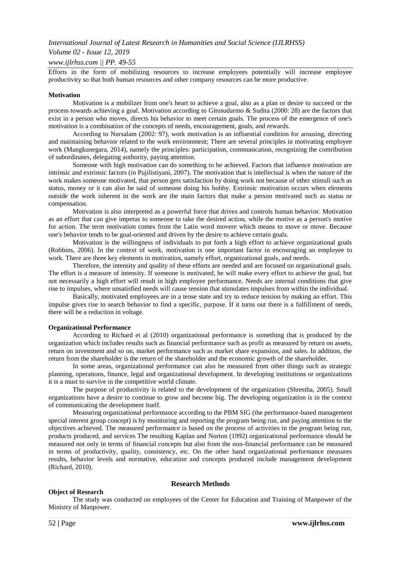# *Volume 02 - Issue 12, 2019*

## *www.ijlrhss.com || PP. 49-55*

Efforts in the form of mobilizing resources to increase employees potentially will increase employee productivity so that both human resources and other company resources can be more productive.

#### **Motivation**

Motivation is a mobilizer from one's heart to achieve a goal, also as a plan or desire to succeed or the process towards achieving a goal. Motivation according to Gitosudarmo & Sudita (2000: 28) are the factors that exist in a person who moves, directs his behavior to meet certain goals. The process of the emergence of one's motivation is a combination of the concepts of needs, encouragement, goals, and rewards.

According to Nursalam (2002: 97), work motivation is an influential condition for arousing, directing and maintaining behavior related to the work environment; There are several principles in motivating employee work (Mangkunegara, 2014), namely the principles: participation, communication, recognizing the contribution of subordinates, delegating authority, paying attention.

Someone with high motivation can do something to be achieved. Factors that influence motivation are intrinsic and extrinsic factors (in Pujilistiyani, 2007). The motivation that is intellectual is when the nature of the work makes someone motivated, that person gets satisfaction by doing work not because of other stimuli such as status, money or it can also be said of someone doing his hobby. Extrinsic motivation occurs when elements outside the work inherent in the work are the main factors that make a person motivated such as status or compensation.

Motivation is also interpreted as a powerful force that drives and controls human behavior. Motivation as an effort that can give impetus to someone to take the desired action, while the motive as a person's motive for action. The term motivation comes from the Latin word movere which means to move or move. Because one's behavior tends to be goal-oriented and driven by the desire to achieve certain goals.

Motivation is the willingness of individuals to put forth a high effort to achieve organizational goals (Robbins, 2006). In the context of work, motivation is one important factor in encouraging an employee to work. There are three key elements in motivation, namely effort, organizational goals, and needs.

Therefore, the intensity and quality of these efforts are needed and are focused on organizational goals. The effort is a measure of intensity. If someone is motivated, he will make every effort to achieve the goal, but not necessarily a high effort will result in high employee performance. Needs are internal conditions that give rise to impulses, where unsatisfied needs will cause tension that stimulates impulses from within the individual.

Basically, motivated employees are in a tense state and try to reduce tension by making an effort. This impulse gives rise to search behavior to find a specific, purpose. If it turns out there is a fulfillment of needs, there will be a reduction in voltage.

#### **Organizational Performance**

According to Richard et al (2010) organizational performance is something that is produced by the organization which includes results such as financial performance such as profit as measured by return on assets, return on investment and so on, market performance such as market share expansion, and sales. In addition, the return from the shareholder is the return of the shareholder and the economic growth of the shareholder.

In some areas, organizational performance can also be measured from other things such as strategic planning, operations, finance, legal and organizational development. In developing institutions or organizations it is a must to survive in the competitive world climate.

The purpose of productivity is related to the development of the organization (Shrestha, 2005). Small organizations have a desire to continue to grow and become big. The developing organization is in the context of communicating the development itself.

Measuring organizational performance according to the PBM SIG (the performance-based management special interest group concept) is by monitoring and reporting the program being run, and paying attention to the objectives achieved. The measured performance is based on the process of activities in the program being run, products produced, and services The resulting Kaplan and Norton (1992) organizational performance should be measured not only in terms of financial concepts but also from the non-financial performance can be measured in terms of productivity, quality, consistency, etc. On the other hand organizational performance measures results, behavior levels and normative, education and concepts produced include management development (Richard, 2010).

#### **Research Methods**

### **Object of Research**

The study was conducted on employees of the Center for Education and Training of Manpower of the Ministry of Manpower.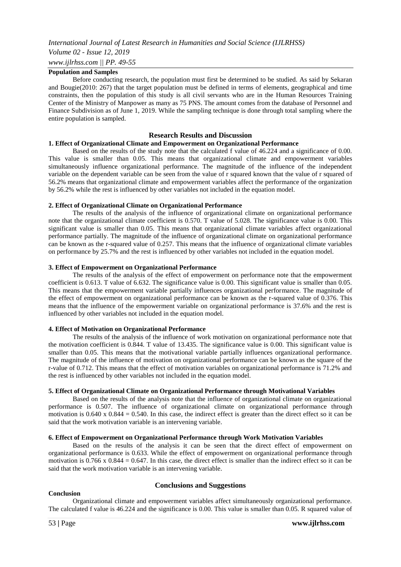# *Volume 02 - Issue 12, 2019*

*www.ijlrhss.com || PP. 49-55*

## **Population and Samples**

Before conducting research, the population must first be determined to be studied. As said by Sekaran and Bougie(2010: 267) that the target population must be defined in terms of elements, geographical and time constraints, then the population of this study is all civil servants who are in the Human Resources Training Center of the Ministry of Manpower as many as 75 PNS. The amount comes from the database of Personnel and Finance Subdivision as of June 1, 2019. While the sampling technique is done through total sampling where the entire population is sampled.

#### **Research Results and Discussion**

#### **1. Effect of Organizational Climate and Empowerment on Organizational Performance**

Based on the results of the study note that the calculated f value of 46.224 and a significance of 0.00. This value is smaller than 0.05. This means that organizational climate and empowerment variables simultaneously influence organizational performance. The magnitude of the influence of the independent variable on the dependent variable can be seen from the value of r squared known that the value of r squared of 56.2% means that organizational climate and empowerment variables affect the performance of the organization by 56.2% while the rest is influenced by other variables not included in the equation model.

#### **2. Effect of Organizational Climate on Organizational Performance**

The results of the analysis of the influence of organizational climate on organizational performance note that the organizational climate coefficient is 0.570. T value of 5.028. The significance value is 0.00. This significant value is smaller than 0.05. This means that organizational climate variables affect organizational performance partially. The magnitude of the influence of organizational climate on organizational performance can be known as the r-squared value of 0.257. This means that the influence of organizational climate variables on performance by 25.7% and the rest is influenced by other variables not included in the equation model.

#### **3. Effect of Empowerment on Organizational Performance**

The results of the analysis of the effect of empowerment on performance note that the empowerment coefficient is 0.613. T value of 6.632. The significance value is 0.00. This significant value is smaller than 0.05. This means that the empowerment variable partially influences organizational performance. The magnitude of the effect of empowerment on organizational performance can be known as the r-squared value of 0.376. This means that the influence of the empowerment variable on organizational performance is 37.6% and the rest is influenced by other variables not included in the equation model.

#### **4. Effect of Motivation on Organizational Performance**

The results of the analysis of the influence of work motivation on organizational performance note that the motivation coefficient is 0.844. T value of 13.435. The significance value is 0.00. This significant value is smaller than 0.05. This means that the motivational variable partially influences organizational performance. The magnitude of the influence of motivation on organizational performance can be known as the square of the r-value of 0.712. This means that the effect of motivation variables on organizational performance is 71.2% and the rest is influenced by other variables not included in the equation model.

#### **5. Effect of Organizational Climate on Organizational Performance through Motivational Variables**

Based on the results of the analysis note that the influence of organizational climate on organizational performance is 0.507. The influence of organizational climate on organizational performance through motivation is  $0.640 \times 0.844 = 0.540$ . In this case, the indirect effect is greater than the direct effect so it can be said that the work motivation variable is an intervening variable.

#### **6. Effect of Empowerment on Organizational Performance through Work Motivation Variables**

Based on the results of the analysis it can be seen that the direct effect of empowerment on organizational performance is 0.633. While the effect of empowerment on organizational performance through motivation is  $0.766 \times 0.844 = 0.647$ . In this case, the direct effect is smaller than the indirect effect so it can be said that the work motivation variable is an intervening variable.

#### **Conclusions and Suggestions**

#### **Conclusion**

Organizational climate and empowerment variables affect simultaneously organizational performance. The calculated f value is 46.224 and the significance is 0.00. This value is smaller than 0.05. R squared value of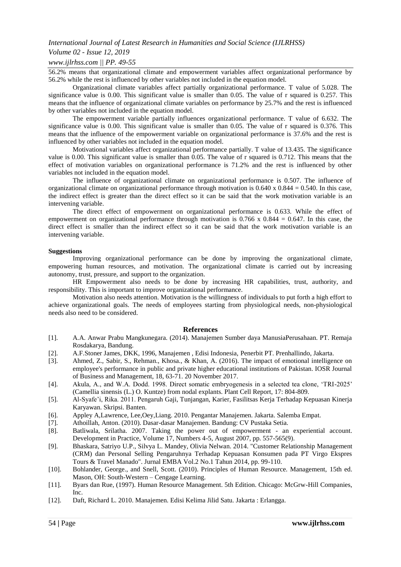## *Volume 02 - Issue 12, 2019*

## *www.ijlrhss.com || PP. 49-55*

56.2% means that organizational climate and empowerment variables affect organizational performance by 56.2% while the rest is influenced by other variables not included in the equation model.

Organizational climate variables affect partially organizational performance. T value of 5.028. The significance value is 0.00. This significant value is smaller than 0.05. The value of r squared is 0.257. This means that the influence of organizational climate variables on performance by 25.7% and the rest is influenced by other variables not included in the equation model.

The empowerment variable partially influences organizational performance. T value of 6.632. The significance value is 0.00. This significant value is smaller than 0.05. The value of r squared is 0.376. This means that the influence of the empowerment variable on organizational performance is 37.6% and the rest is influenced by other variables not included in the equation model.

Motivational variables affect organizational performance partially. T value of 13.435. The significance value is 0.00. This significant value is smaller than 0.05. The value of r squared is 0.712. This means that the effect of motivation variables on organizational performance is 71.2% and the rest is influenced by other variables not included in the equation model.

The influence of organizational climate on organizational performance is 0.507. The influence of organizational climate on organizational performance through motivation is 0.640 x 0.844 = 0.540. In this case, the indirect effect is greater than the direct effect so it can be said that the work motivation variable is an intervening variable.

The direct effect of empowerment on organizational performance is 0.633. While the effect of empowerment on organizational performance through motivation is  $0.766 \times 0.844 = 0.647$ . In this case, the direct effect is smaller than the indirect effect so it can be said that the work motivation variable is an intervening variable.

#### **Suggestions**

Improving organizational performance can be done by improving the organizational climate, empowering human resources, and motivation. The organizational climate is carried out by increasing autonomy, trust, pressure, and support to the organization.

HR Empowerment also needs to be done by increasing HR capabilities, trust, authority, and responsibility. This is important to improve organizational performance.

Motivation also needs attention. Motivation is the willingness of individuals to put forth a high effort to achieve organizational goals. The needs of employees starting from physiological needs, non-physiological needs also need to be considered.

#### **References**

- [1]. A.A. Anwar Prabu Mangkunegara. (2014). Manajemen Sumber daya ManusiaPerusahaan. PT. Remaja Rosdakarya, Bandung.
- [2]. A.F.Stoner James, DKK, 1996, Manajemen , Edisi Indonesia, Penerbit PT. Prenhallindo, Jakarta.
- [3]. Ahmed, Z., Sabir, S., Rehman., Khosa., & Khan, A. (2016). The impact of emotional intelligence on employee's performance in public and private higher educational institutions of Pakistan. IOSR Journal of Business and Management, 18, 63-71. 20 November 2017.
- [4]. Akula, A., and W.A. Dodd. 1998. Direct somatic embryogenesis in a selected tea clone, 'TRI-2025' (Camellia sinensis (L.) O. Kuntze) from nodal explants. Plant Cell Report, 17: 804-809.
- [5]. Al-Syafe'i, Rika. 2011. Pengaruh Gaji, Tunjangan, Karier, Fasilitsas Kerja Terhadap Kepuasan Kinerja Karyawan. Skripsi. Banten.
- [6]. Appley A,Lawrence, Lee,Oey,Liang. 2010. Pengantar Manajemen. Jakarta. Salemba Empat.
- [7]. Athoillah, Anton. (2010). Dasar-dasar Manajemen. Bandung: CV Pustaka Setia.
- [8]. Batliwala, Srilatha. 2007. Taking the power out of empowerment an experiential account. Development in Practice, Volume 17, Numbers 4-5, August 2007, pp. 557-565(9).
- [9]. Bhaskara, Satriyo U.P., Silvya L. Mandey, Olivia Nelwan. 2014. "Customer Relationship Management (CRM) dan Personal Selling Pengaruhnya Terhadap Kepuasan Konsumen pada PT Virgo Ekspres Tours & Travel Manado". Jurnal EMBA Vol.2 No.1 Tahun 2014, pp. 99-110.
- [10]. Bohlander, George., and Snell, Scott. (2010). Principles of Human Resource. Management, 15th ed. Mason, OH: South-Western – Cengage Learning.
- [11]. Byars dan Rue, (1997). Human Resource Management. 5th Edition. Chicago: McGrw-Hill Companies, Inc.
- [12]. Daft, Richard L. 2010. Manajemen. Edisi Kelima Jilid Satu. Jakarta : Erlangga.